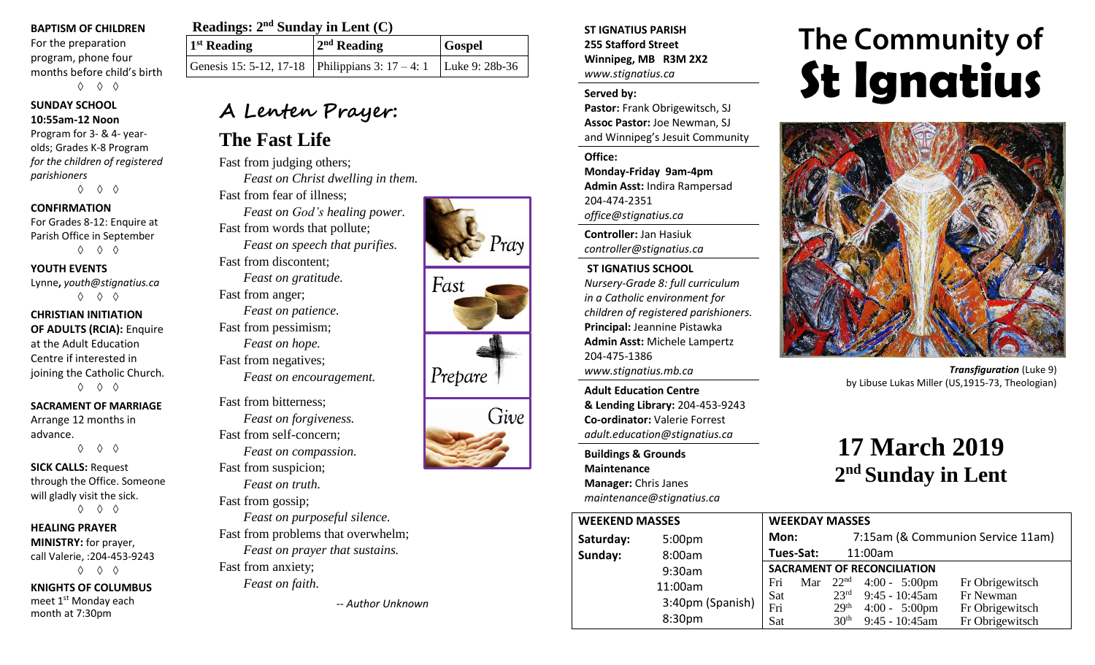#### **BAPTISM OF CHILDREN**

For the preparation program, phone four months before child's birth ◊ ◊ ◊

#### **SUNDAY SCHOOL 10:55am-12 Noon**

Program for 3- & 4- yearolds; Grades K-8 Program *for the children of registered parishioners*

◊ ◊ ◊

### **CONFIRMATION**

For Grades 8-12: Enquire at Parish Office in September ◊ ◊ ◊

### **YOUTH EVENTS**

Lynne**,** *youth@stignatius.ca* ◊ ◊ ◊

**CHRISTIAN INITIATION OF ADULTS (RCIA):** Enquire at the Adult Education Centre if interested in joining the Catholic Church. ◊ ◊ ◊

## **SACRAMENT OF MARRIAGE**

Arrange 12 months in advance. ◊ ◊ ◊

**SICK CALLS:** Request through the Office. Someone will gladly visit the sick. ◊ ◊ ◊

## **HEALING PRAYER MINISTRY:** for prayer, call Valerie, :204-453-9243

◊ ◊ ◊

**KNIGHTS OF COLUMBUS** meet 1<sup>st</sup> Monday each month at 7:30pm

## **Readings:**  $2<sup>nd</sup>$  **Sunday in Lent** (C)

| $1st$ Reading | $2nd$ Reading                                                          | <b>Gospel</b> |
|---------------|------------------------------------------------------------------------|---------------|
|               | Genesis 15: 5-12, 17-18   Philippians 3: $17 - 4$ : 1   Luke 9: 28b-36 |               |

## **A Lenten Prayer:**

## **The Fast Life**

Fast from judging others; *Feast on Christ dwelling in them.* Fast from fear of illness; *Feast on God's healing power.* Fast from words that pollute; *Feast on speech that purifies.* Fast from discontent; *Feast on gratitude.* Fast from anger; *Feast on patience.* Fast from pessimism; *Feast on hope.* Fast from negatives; *Feast on encouragement.* Fast from bitterness; *Feast on forgiveness.* Fast from self-concern; *Feast on compassion.* Fast from suspicion; *Feast on truth.*

Fast from gossip; *Feast on purposeful silence.* Fast from problems that overwhelm; *Feast on prayer that sustains.* Fast from anxiety; *Feast on faith.*

*-- Author Unknown*

**ST IGNATIUS PARISH 255 Stafford Street Winnipeg, MB R3M 2X2** *www.stignatius.ca*

## **Served by:**

**Pastor:** Frank Obrigewitsch, SJ **Assoc Pastor:** Joe Newman, SJ and Winnipeg's Jesuit Community

#### **Office:**

**Monday-Friday 9am-4pm Admin Asst:** Indira Rampersad 204-474-2351 *office@stignatius.ca*

**Controller:** Jan Hasiuk *controller@stignatius.ca*

## **ST IGNATIUS SCHOOL**

*Nursery-Grade 8: full curriculum in a Catholic environment for children of registered parishioners.* **Principal:** Jeannine Pistawka **Admin Asst:** Michele Lampertz 204-475-1386 *www.stignatius.mb.ca*

**Adult Education Centre & Lending Library:** 204-453-9243 **Co-ordinator:** Valerie Forrest *adult.education@stignatius.ca*

**Buildings & Grounds Maintenance Manager:** Chris Janes *maintenance@stignatius.ca*

# The Community of **St Ignatius**



*Transfiguration* (Luke 9) by Libuse Lukas Miller (US,1915-73, Theologian)

# **17 March 2019 2 nd Sunday in Lent**

| <b>WEEKEND MASSES</b> |                    | <b>WEEKDAY MASSES</b>              |     |                                   |                         |                 |  |
|-----------------------|--------------------|------------------------------------|-----|-----------------------------------|-------------------------|-----------------|--|
| Saturday:             | 5:00 <sub>pm</sub> | Mon:                               |     | 7:15am (& Communion Service 11am) |                         |                 |  |
| Sunday:               | 8:00am             | Tues-Sat:                          |     |                                   | 11:00am                 |                 |  |
|                       | 9:30am             | <b>SACRAMENT OF RECONCILIATION</b> |     |                                   |                         |                 |  |
|                       | 11:00am            | Fri                                | Mar |                                   | $22nd$ 4:00 - 5:00pm    | Fr Obrigewitsch |  |
|                       |                    | Sat                                |     | $23^{\rm rd}$                     | $9:45 - 10:45$ am       | Fr Newman       |  |
|                       | 3:40pm (Spanish)   | Fri                                |     | 29 <sup>th</sup>                  | $4:00 - 5:00 \text{pm}$ | Fr Obrigewitsch |  |
|                       | 8:30pm             | Sat                                |     | 30 <sup>th</sup>                  | 9:45 - 10:45am          | Fr Obrigewitsch |  |